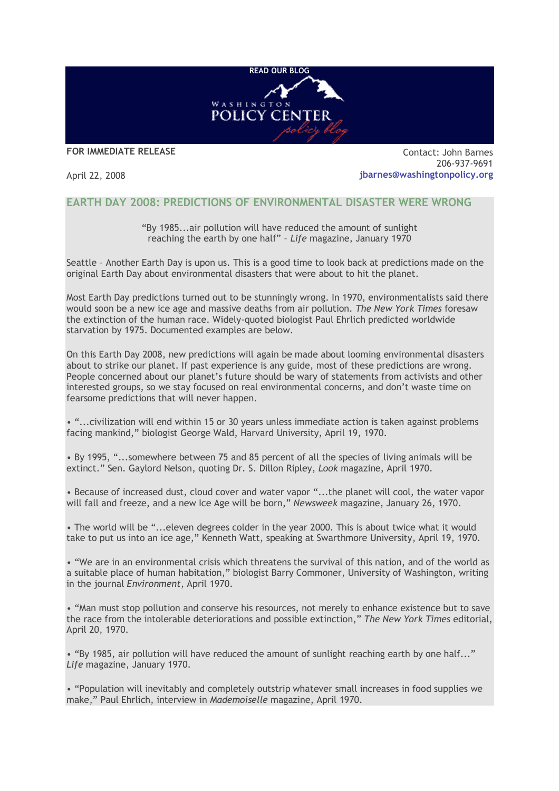

**FOR IMMEDIATE RELEASE**

April 22, 2008

Contact: John Barnes 206-937-9691 **jbarnes@washingtonpolicy.org**

## **EARTH DAY 2008: PREDICTIONS OF ENVIRONMENTAL DISASTER WERE WRONG**

"By 1985...air pollution will have reduced the amount of sunlight reaching the earth by one half" – *Life* magazine, January 1970

Seattle – Another Earth Day is upon us. This is a good time to look back at predictions made on the original Earth Day about environmental disasters that were about to hit the planet.

Most Earth Day predictions turned out to be stunningly wrong. In 1970, environmentalists said there would soon be a new ice age and massive deaths from air pollution. *The New York Times* foresaw the extinction of the human race. Widely-quoted biologist Paul Ehrlich predicted worldwide starvation by 1975. Documented examples are below.

On this Earth Day 2008, new predictions will again be made about looming environmental disasters about to strike our planet. If past experience is any guide, most of these predictions are wrong. People concerned about our planet's future should be wary of statements from activists and other interested groups, so we stay focused on real environmental concerns, and don't waste time on fearsome predictions that will never happen.

• "...civilization will end within 15 or 30 years unless immediate action is taken against problems facing mankind," biologist George Wald, Harvard University, April 19, 1970.

• By 1995, "...somewhere between 75 and 85 percent of all the species of living animals will be extinct." Sen. Gaylord Nelson, quoting Dr. S. Dillon Ripley, *Look* magazine, April 1970.

• Because of increased dust, cloud cover and water vapor "...the planet will cool, the water vapor will fall and freeze, and a new Ice Age will be born," *Newsweek* magazine, January 26, 1970.

• The world will be "...eleven degrees colder in the year 2000. This is about twice what it would take to put us into an ice age," Kenneth Watt, speaking at Swarthmore University, April 19, 1970.

• "We are in an environmental crisis which threatens the survival of this nation, and of the world as a suitable place of human habitation," biologist Barry Commoner, University of Washington, writing in the journal *Environment*, April 1970.

• "Man must stop pollution and conserve his resources, not merely to enhance existence but to save the race from the intolerable deteriorations and possible extinction," *The New York Times* editorial, April 20, 1970.

• "By 1985, air pollution will have reduced the amount of sunlight reaching earth by one half..." *Life* magazine, January 1970.

• "Population will inevitably and completely outstrip whatever small increases in food supplies we make," Paul Ehrlich, interview in *Mademoiselle* magazine, April 1970.